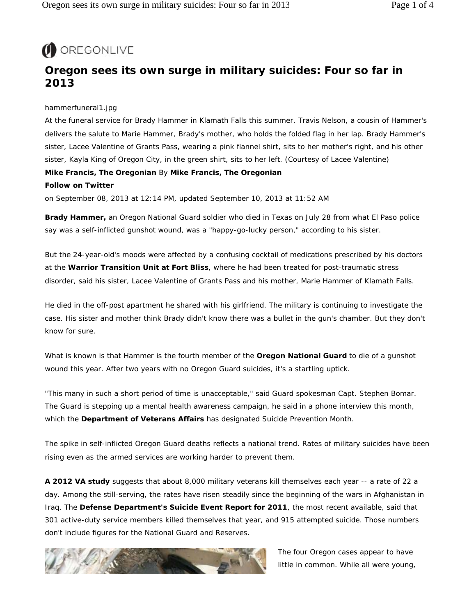

# **Oregon sees its own surge in military suicides: Four so far in 2013**

## hammerfuneral1.jpg

At the funeral service for Brady Hammer in Klamath Falls this summer, Travis Nelson, a cousin of Hammer's delivers the salute to Marie Hammer, Brady's mother, who holds the folded flag in her lap. Brady Hammer's sister, Lacee Valentine of Grants Pass, wearing a pink flannel shirt, sits to her mother's right, and his other sister, Kayla King of Oregon City, in the green shirt, sits to her left. *(Courtesy of Lacee Valentine)* **Mike Francis, The Oregonian** By **Mike Francis, The Oregonian** 

# **Follow on Twitter**

on September 08, 2013 at 12:14 PM, updated September 10, 2013 at 11:52 AM

**Brady Hammer,** an Oregon National Guard soldier who died in Texas on July 28 from what El Paso police say was a self-inflicted gunshot wound, was a "happy-go-lucky person," according to his sister.

But the 24-year-old's moods were affected by a confusing cocktail of medications prescribed by his doctors at the **Warrior Transition Unit at Fort Bliss**, where he had been treated for post-traumatic stress disorder, said his sister, Lacee Valentine of Grants Pass and his mother, Marie Hammer of Klamath Falls.

He died in the off-post apartment he shared with his girlfriend. The military is continuing to investigate the case. His sister and mother think Brady didn't know there was a bullet in the gun's chamber. But they don't know for sure.

What is known is that Hammer is the fourth member of the **Oregon National Guard** to die of a gunshot wound this year. After two years with no Oregon Guard suicides, it's a startling uptick.

"This many in such a short period of time is unacceptable," said Guard spokesman Capt. Stephen Bomar. The Guard is stepping up a mental health awareness campaign, he said in a phone interview this month, which the **Department of Veterans Affairs** has designated Suicide Prevention Month.

The spike in self-inflicted Oregon Guard deaths reflects a national trend. Rates of military suicides have been rising even as the armed services are working harder to prevent them.

**A 2012 VA study** suggests that about 8,000 military veterans kill themselves each year -- a rate of 22 a day. Among the still-serving, the rates have risen steadily since the beginning of the wars in Afghanistan in Iraq. The **Defense Department's Suicide Event Report for 2011**, the most recent available, said that 301 active-duty service members killed themselves that year, and 915 attempted suicide. Those numbers don't include figures for the National Guard and Reserves.



The four Oregon cases appear to have little in common. While all were young,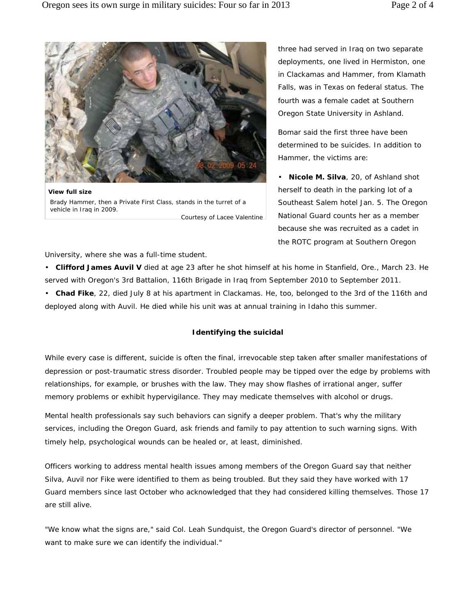

Courtesy of Lacee Valentine **View full size** Brady Hammer, then a Private First Class, stands in the turret of a vehicle in Iraq in 2009.

three had served in Iraq on two separate deployments, one lived in Hermiston, one in Clackamas and Hammer, from Klamath Falls, was in Texas on federal status. The fourth was a female cadet at Southern Oregon State University in Ashland.

Bomar said the first three have been determined to be suicides. In addition to Hammer, the victims are:

• **Nicole M. Silva**, 20, of Ashland shot herself to death in the parking lot of a Southeast Salem hotel Jan. 5. The Oregon National Guard counts her as a member because she was recruited as a cadet in the ROTC program at Southern Oregon

University, where she was a full-time student.

• **Clifford James Auvil V** died at age 23 after he shot himself at his home in Stanfield, Ore., March 23. He served with Oregon's 3rd Battalion, 116th Brigade in Iraq from September 2010 to September 2011.

• **Chad Fike**, 22, died July 8 at his apartment in Clackamas. He, too, belonged to the 3rd of the 116th and deployed along with Auvil. He died while his unit was at annual training in Idaho this summer.

#### **Identifying the suicidal**

While every case is different, suicide is often the final, irrevocable step taken after smaller manifestations of depression or post-traumatic stress disorder. Troubled people may be tipped over the edge by problems with relationships, for example, or brushes with the law. They may show flashes of irrational anger, suffer memory problems or exhibit hypervigilance. They may medicate themselves with alcohol or drugs.

Mental health professionals say such behaviors can signify a deeper problem. That's why the military services, including the Oregon Guard, ask friends and family to pay attention to such warning signs. With timely help, psychological wounds can be healed or, at least, diminished.

Officers working to address mental health issues among members of the Oregon Guard say that neither Silva, Auvil nor Fike were identified to them as being troubled. But they said they have worked with 17 Guard members since last October who acknowledged that they had considered killing themselves. Those 17 are still alive.

"We know what the signs are," said Col. Leah Sundquist, the Oregon Guard's director of personnel. "We want to make sure we can identify the individual."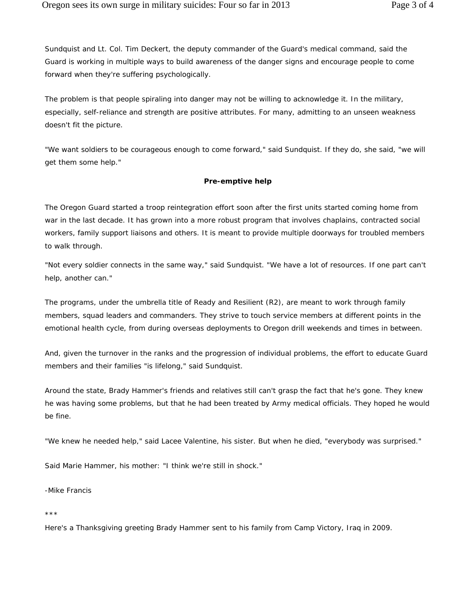Sundquist and Lt. Col. Tim Deckert, the deputy commander of the Guard's medical command, said the Guard is working in multiple ways to build awareness of the danger signs and encourage people to come forward when they're suffering psychologically.

The problem is that people spiraling into danger may not be willing to acknowledge it. In the military, especially, self-reliance and strength are positive attributes. For many, admitting to an unseen weakness doesn't fit the picture.

"We want soldiers to be courageous enough to come forward," said Sundquist. If they do, she said, "we will get them some help."

## **Pre-emptive help**

The Oregon Guard started a troop reintegration effort soon after the first units started coming home from war in the last decade. It has grown into a more robust program that involves chaplains, contracted social workers, family support liaisons and others. It is meant to provide multiple doorways for troubled members to walk through.

"Not every soldier connects in the same way," said Sundquist. "We have a lot of resources. If one part can't help, another can."

The programs, under the umbrella title of Ready and Resilient (R2), are meant to work through family members, squad leaders and commanders. They strive to touch service members at different points in the emotional health cycle, from during overseas deployments to Oregon drill weekends and times in between.

And, given the turnover in the ranks and the progression of individual problems, the effort to educate Guard members and their families "is lifelong," said Sundquist.

Around the state, Brady Hammer's friends and relatives still can't grasp the fact that he's gone. They knew he was having some problems, but that he had been treated by Army medical officials. They hoped he would be fine.

"We knew he needed help," said Lacee Valentine, his sister. But when he died, "everybody was surprised."

Said Marie Hammer, his mother: "I think we're still in shock."

-Mike Francis

\*\*\*

Here's a Thanksgiving greeting Brady Hammer sent to his family from Camp Victory, Iraq in 2009.